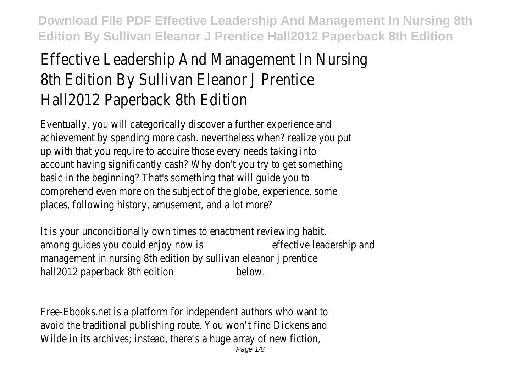## Effective Leadership And Management In Nursing 8th Edition By Sullivan Eleanor J Prentice Hall2012 Paperback 8th Edition

Eventually, you will categorically discover a further experience and achievement by spending more cash. nevertheless when? realize you put up with that you require to acquire those every needs taking into account having significantly cash? Why don't you try to get something basic in the beginning? That's something that will guide you to comprehend even more on the subject of the globe, experience, some places, following history, amusement, and a lot more?

It is your unconditionally own times to enactment reviewing habit. among guides you could enjoy now is effective leadership and management in nursing 8th edition by sullivan eleanor j prentice hall2012 paperback 8th edition below.

Free-Ebooks.net is a platform for independent authors who want to avoid the traditional publishing route. You won't find Dickens and Wilde in its archives; instead, there's a huge array of new fiction,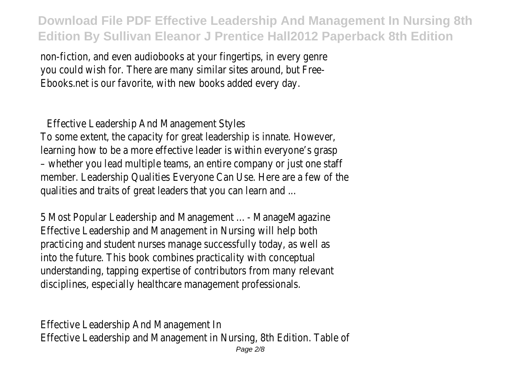non-fiction, and even audiobooks at your fingertips, in every genre you could wish for. There are many similar sites around, but Free-Ebooks.net is our favorite, with new books added every day.

Effective Leadership And Management Styles

To some extent, the capacity for great leadership is innate. However, learning how to be a more effective leader is within everyone's grasp – whether you lead multiple teams, an entire company or just one staff member. Leadership Qualities Everyone Can Use. Here are a few of the qualities and traits of great leaders that you can learn and ...

5 Most Popular Leadership and Management ... - ManageMagazine Effective Leadership and Management in Nursing will help both practicing and student nurses manage successfully today, as well as into the future. This book combines practicality with conceptual understanding, tapping expertise of contributors from many relevant disciplines, especially healthcare management professionals.

Effective Leadership And Management In Effective Leadership and Management in Nursing, 8th Edition. Table of Page 2/8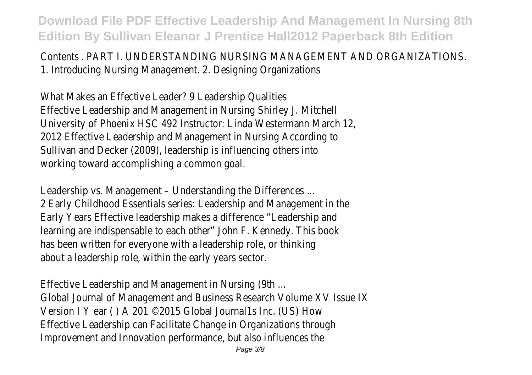Contents . PART I. UNDERSTANDING NURSING MANAGEMENT AND ORGANIZATIONS. 1. Introducing Nursing Management. 2. Designing Organizations

What Makes an Effective Leader? 9 Leadership Qualities Effective Leadership and Management in Nursing Shirley J. Mitchell University of Phoenix HSC 492 Instructor: Linda Westermann March 12, 2012 Effective Leadership and Management in Nursing According to Sullivan and Decker (2009), leadership is influencing others into working toward accomplishing a common goal.

Leadership vs. Management – Understanding the Differences ... 2 Early Childhood Essentials series: Leadership and Management in the Early Years Effective leadership makes a difference "Leadership and learning are indispensable to each other" John F. Kennedy. This book has been written for everyone with a leadership role, or thinking about a leadership role, within the early years sector.

Effective Leadership and Management in Nursing (9th ... Global Journal of Management and Business Research Volume XV Issue IX Version I Y ear ( ) A 201 © 2015 Global Journal1s Inc. (US) How Effective Leadership can Facilitate Change in Organizations through Improvement and Innovation performance, but also influences the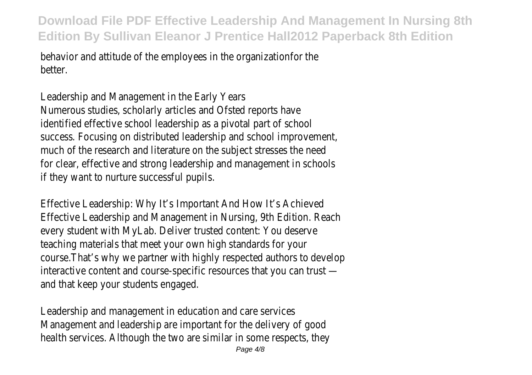behavior and attitude of the employees in the organizationfor the better.

Leadership and Management in the Early Years Numerous studies, scholarly articles and Ofsted reports have identified effective school leadership as a pivotal part of school success. Focusing on distributed leadership and school improvement, much of the research and literature on the subject stresses the need for clear, effective and strong leadership and management in schools if they want to nurture successful pupils.

Effective Leadership: Why It's Important And How It's Achieved Effective Leadership and Management in Nursing, 9th Edition. Reach every student with MyLab. Deliver trusted content: You deserve teaching materials that meet your own high standards for your course.That's why we partner with highly respected authors to develop interactive content and course-specific resources that you can trust and that keep your students engaged.

Leadership and management in education and care services Management and leadership are important for the delivery of good health services. Although the two are similar in some respects, they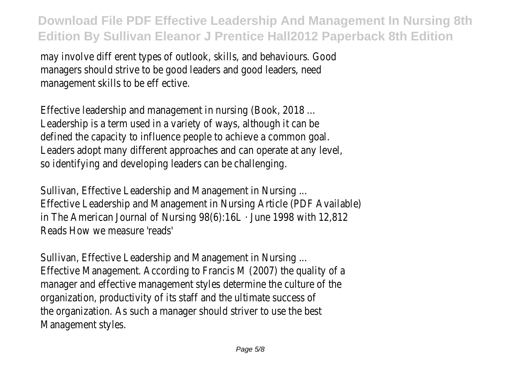may involve diff erent types of outlook, skills, and behaviours. Good managers should strive to be good leaders and good leaders, need management skills to be eff ective.

Effective leadership and management in nursing (Book, 2018 ... Leadership is a term used in a variety of ways, although it can be defined the capacity to influence people to achieve a common goal. Leaders adopt many different approaches and can operate at any level, so identifying and developing leaders can be challenging.

Sullivan, Effective Leadership and Management in Nursing ... Effective Leadership and Management in Nursing Article (PDF Available) in The American Journal of Nursing 98(6):16L · June 1998 with 12,812 Reads How we measure 'reads'

Sullivan, Effective Leadership and Management in Nursing ... Effective Management. According to Francis M (2007) the quality of a manager and effective management styles determine the culture of the organization, productivity of its staff and the ultimate success of the organization. As such a manager should striver to use the best Management styles.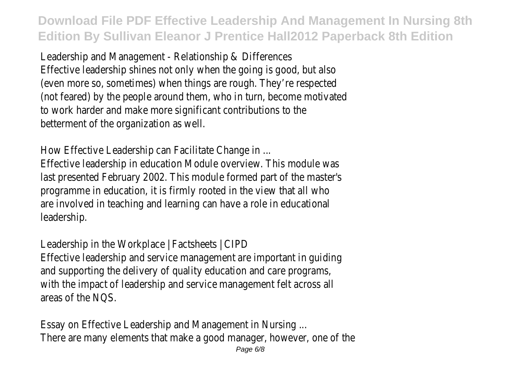Leadership and Management - Relationship & Differences Effective leadership shines not only when the going is good, but also (even more so, sometimes) when things are rough. They're respected (not feared) by the people around them, who in turn, become motivated to work harder and make more significant contributions to the betterment of the organization as well.

How Effective Leadership can Facilitate Change in ...

Effective leadership in education Module overview. This module was last presented February 2002. This module formed part of the master's programme in education, it is firmly rooted in the view that all who are involved in teaching and learning can have a role in educational leadership.

Leadership in the Workplace | Factsheets | CIPD Effective leadership and service management are important in guiding and supporting the delivery of quality education and care programs, with the impact of leadership and service management felt across all areas of the NQS.

Essay on Effective Leadership and Management in Nursing ... There are many elements that make a good manager, however, one of the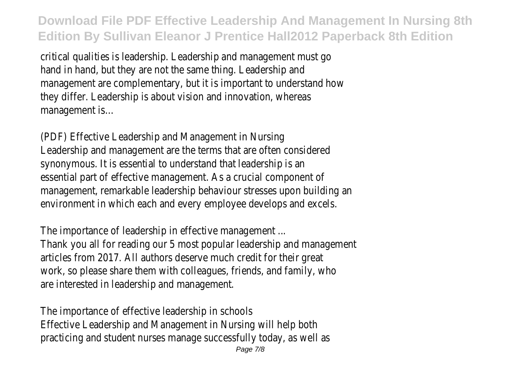critical qualities is leadership. Leadership and management must go hand in hand, but they are not the same thing. Leadership and management are complementary, but it is important to understand how they differ. Leadership is about vision and innovation, whereas management is…

(PDF) Effective Leadership and Management in Nursing Leadership and management are the terms that are often considered synonymous. It is essential to understand that leadership is an essential part of effective management. As a crucial component of management, remarkable leadership behaviour stresses upon building an environment in which each and every employee develops and excels.

The importance of leadership in effective management ... Thank you all for reading our 5 most popular leadership and management articles from 2017. All authors deserve much credit for their great work, so please share them with colleagues, friends, and family, who are interested in leadership and management.

The importance of effective leadership in schools Effective Leadership and Management in Nursing will help both practicing and student nurses manage successfully today, as well as